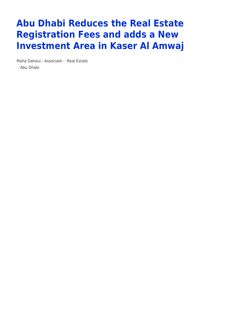## **Abu Dhabi Reduces the Real Estate Registration Fees and adds a New Investment Area in Kaser Al Amwaj**

Maha Dahoui - Associate - [Real Estate](https://www.tamimi.com/client-services/practices/real-estate/) - [Abu Dhabi](https://www.tamimi.com/locations/uae/)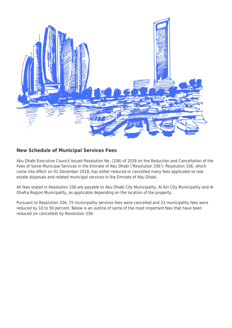

## **New Schedule of Municipal Services Fees**

Abu Dhabi Executive Council issued Resolution No. (336) of 2018 on the Reduction and Cancellation of the Fees of Some Municipal Services in the Emirate of Abu Dhabi ('Resolution 336'). Resolution 336, which came into effect on 01 December 2018, has either reduced or cancelled many fees applicable to real estate disposals and related municipal services in the Emirate of Abu Dhabi.

All fees stated in Resolution 336 are payable to Abu Dhabi City Municipality, Al Ain City Municipality and Al Dhafra Region Municipality, as applicable depending on the location of the property.

Pursuant to Resolution 336, 75 municipality services fees were cancelled and 23 municipality fees were reduced by 10 to 50 percent. Below is an outline of some of the most important fees that have been reduced (or cancelled) by Resolution 336: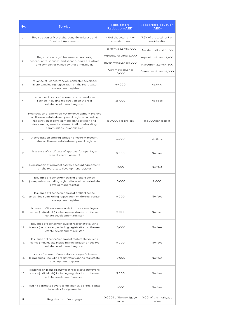| No. | <b>Service</b>                                                                                                                                                                                                                                  | Fees before<br><b>Reduction (AED)</b>                                                                       | <b>Fees after Reduction</b><br>(AED)                                                                    |
|-----|-------------------------------------------------------------------------------------------------------------------------------------------------------------------------------------------------------------------------------------------------|-------------------------------------------------------------------------------------------------------------|---------------------------------------------------------------------------------------------------------|
| 1.  | Registration of Musataha, Long-Term Lease and<br>Usufruct Agreement                                                                                                                                                                             | 4% of the total rent or<br>consideration                                                                    | 3.6% of the total rent or<br>consideration                                                              |
| 2.  | Registration of gift between ascendants,<br>descendants, spouses, and second-degree relatives<br>and companies owned by these individuals                                                                                                       | Residential Land: 3.000<br>Agricultural Land: 3,000<br>Investment Land: 5.000<br>Commercial Land:<br>10,000 | Residential Land: 2,700<br>Agricultural Land: 2,700<br>Investment Land: 4,500<br>Commercial Land: 9,000 |
| 3.  | Issuance of licence/renewal of master developer<br>licence, including registration on the real estate<br>development register                                                                                                                   | 50,000                                                                                                      | 45,000                                                                                                  |
| 4.  | Issuance of licence/renewal of sub-developer<br>licence, including registration on the real<br>estate development register                                                                                                                      | 25,000                                                                                                      | No Fees                                                                                                 |
| 5.  | Registration of a new real estate development project<br>on the real estate development register, including<br>registration of development plans, division and<br>strata management statements (floors/building/<br>communities), as applicable | 150,000 per project                                                                                         | 135,000 per project                                                                                     |
| 6.  | Accreditation and registration of escrow account<br>trustee on the real estate development register                                                                                                                                             | 75,000                                                                                                      | No Fees                                                                                                 |
| 7.  | Issuance of certificate of approval for opening a<br>project escrow account                                                                                                                                                                     | 5,000                                                                                                       | No fees                                                                                                 |
| 8.  | Registration of a project escrow account agreement<br>on the real estate development register                                                                                                                                                   | 1,000                                                                                                       | No fees                                                                                                 |
| 9.  | Issuance of licence/renewal of broker licence<br>(companies), including registration on the real estate<br>development register                                                                                                                 | 10,000                                                                                                      | 9,000                                                                                                   |
| 10. | Issuance of licence/renewal of broker licence<br>(individuals), including registration on the real estate<br>development register                                                                                                               | 5,000                                                                                                       | No fees                                                                                                 |
| 11. | Issuance of licence/renewal of broker's employee<br>licence (individuals), including registration on the real<br>estate development register                                                                                                    | 2,500                                                                                                       | No fees                                                                                                 |
| 12. | Issuance of licence/renewal of real estate valuer's<br>licence (companies), including registration on the real<br>estate development register                                                                                                   | 10,000                                                                                                      | No fees                                                                                                 |
| 13. | Issuance of licence/renewal of real estate valuer's<br>licence (individuals), including registration on the real<br>estate development register                                                                                                 | 5,000                                                                                                       | No fees                                                                                                 |
| 14. | Licence/renewal of real estate surveyor's licence<br>(companies), including registration on the real estate<br>development register                                                                                                             | 10,000                                                                                                      | No fees                                                                                                 |
| 15. | Issuance of licence/renewal of real estate surveyor's<br>licence (individuals), including registration on the real<br>estate development register                                                                                               | 5,000                                                                                                       | No fees                                                                                                 |
| 16. | Issuing permit to advertise off-plan sale of real estate<br>in local or foreign media                                                                                                                                                           | 1,000                                                                                                       | No fees                                                                                                 |
| 17. | Registration of mortgage                                                                                                                                                                                                                        | 0.0009 of the mortgage<br>value                                                                             | 0.001 of the mortgage<br>value                                                                          |